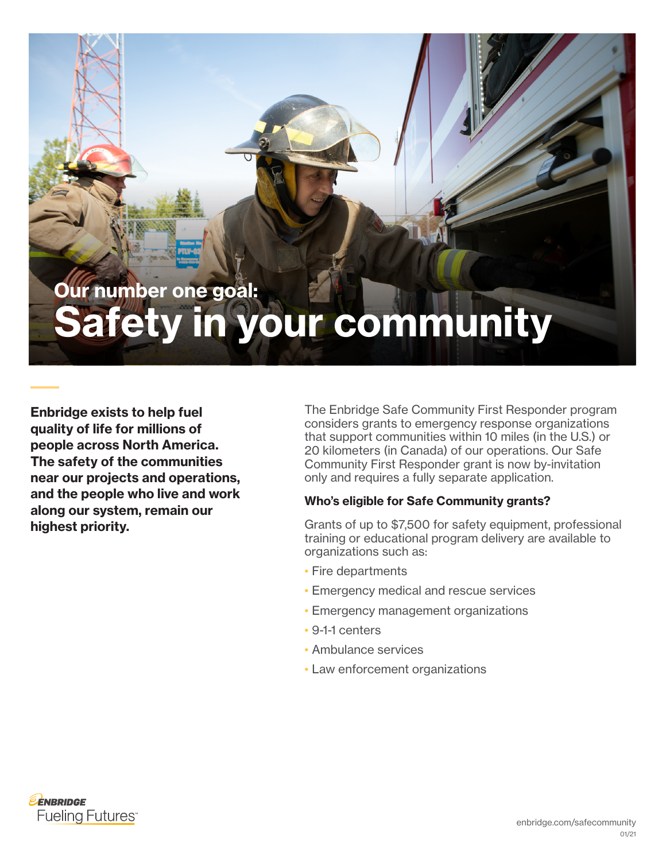# Our number one goal: Safety in your community

Enbridge exists to help fuel quality of life for millions of people across North America. The safety of the communities near our projects and operations, and the people who live and work along our system, remain our highest priority.

The Enbridge Safe Community First Responder program considers grants to emergency response organizations that support communities within 10 miles (in the U.S.) or 20 kilometers (in Canada) of our operations. Our Safe Community First Responder grant is now by-invitation only and requires a fully separate application.

### Who's eligible for Safe Community grants?

Grants of up to \$7,500 for safety equipment, professional training or educational program delivery are available to organizations such as:

- Fire departments
- Emergency medical and rescue services
- Emergency management organizations
- 9-1-1 centers
- Ambulance services
- Law enforcement organizations